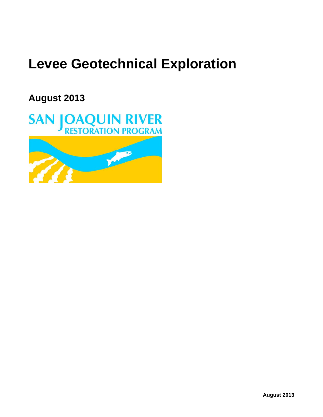# **Levee Geotechnical Exploration**

**August 2013**

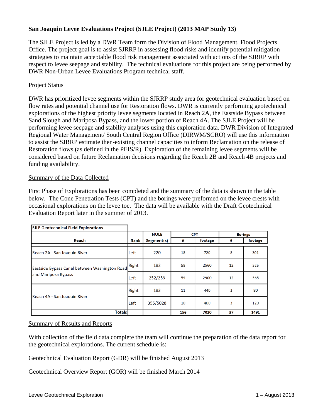## **San Joaquin Levee Evaluations Project (SJLE Project) (2013 MAP Study 13)**

The SJLE Project is led by a DWR Team form the Division of Flood Management, Flood Projects Office. The project goal is to assist SJRRP in assessing flood risks and identify potential mitigation strategies to maintain acceptable flood risk management associated with actions of the SJRRP with respect to levee seepage and stability. The technical evaluations for this project are being performed by DWR Non-Urban Levee Evaluations Program technical staff.

## Project Status

DWR has prioritized levee segments within the SJRRP study area for geotechnical evaluation based on flow rates and potential channel use for Restoration flows. DWR is currently performing geotechnical explorations of the highest priority levee segments located in Reach 2A, the Eastside Bypass between Sand Slough and Mariposa Bypass, and the lower portion of Reach 4A. The SJLE Project will be performing levee seepage and stability analyses using this exploration data. DWR Division of Integrated Regional Water Management/ South Central Region Office (DIRWM/SCRO) will use this information to assist the SJRRP estimate then-existing channel capacities to inform Reclamation on the release of Restoration flows (as defined in the PEIS/R). Exploration of the remaining levee segments will be considered based on future Reclamation decisions regarding the Reach 2B and Reach 4B projects and funding availability.

### Summary of the Data Collected

First Phase of Explorations has been completed and the summary of the data is shown in the table below. The Cone Penetration Tests (CPT) and the borings were preformed on the levee crests with occasional explorations on the levee toe. The data will be available with the Draft Geotechnical Evaluation Report later in the summer of 2013.

| <b>SJLE Geotechnical Field Explorations</b>                          |       |             |            |         |                |         |
|----------------------------------------------------------------------|-------|-------------|------------|---------|----------------|---------|
|                                                                      |       | <b>NULE</b> | <b>CPT</b> |         | <b>Borings</b> |         |
| Reach                                                                | Bank  | Segment(s)  | #          | footage | #              | footage |
| Reach 2A - San Joaquin River                                         | Left  | 220         | 18         | 720     | 8              | 201     |
| Eastside Bypass Canal between Washington Road<br>and Mariposa Bypass | Right | 182         | 58         | 2560    | 12             | 525     |
|                                                                      | Left  | 252/253     | 59         | 2900    | 12             | 565     |
| Reach 4A - San Joaquin River                                         | Right | 183         | 11         | 440     | 2              | 80      |
|                                                                      | Left  | 355/5028    | 10         | 400     | 3              | 120     |
| <b>Totals</b>                                                        |       |             | 156        | 7020    | 37             | 1491    |

### Summary of Results and Reports

With collection of the field data complete the team will continue the preparation of the data report for the geotechnical explorations. The current schedule is:

Geotechnical Evaluation Report (GDR) will be finished August 2013

Geotechnical Overview Report (GOR) will be finished March 2014